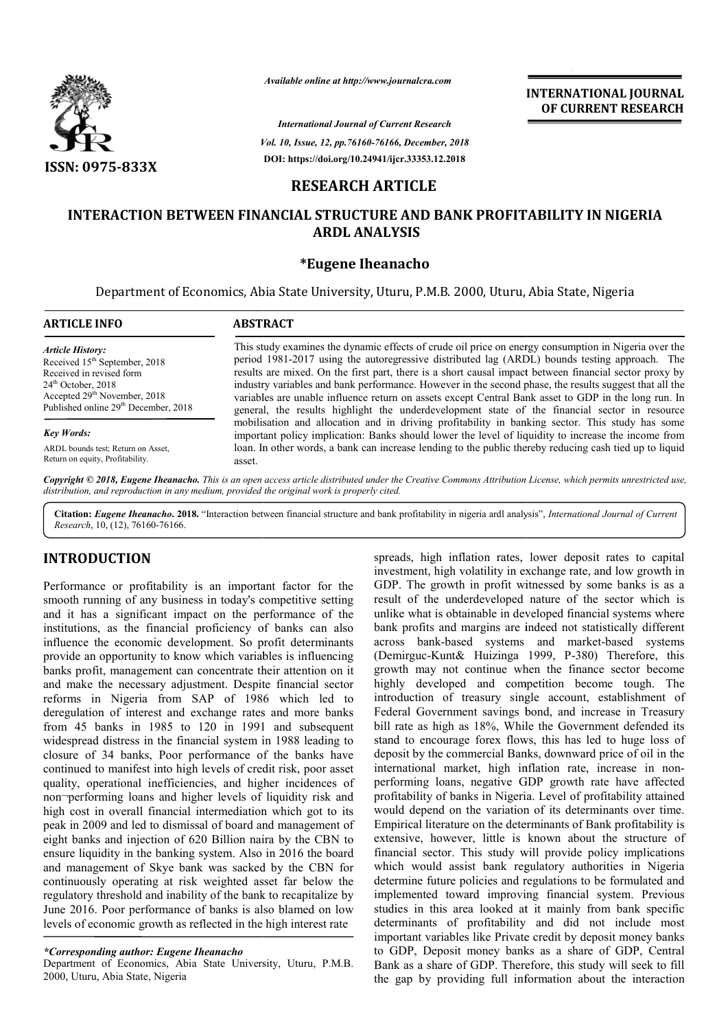

*Available online at http://www.journalcra.com*

*Vol. 10, Issue, 12, pp. pp.76160-76166, December, 2018 International Journal of Current Research* **DOI: https://doi.org/10.24941/ijcr.33353.12.2018**

**INTERNATIONAL JOURNAL OF CURRENT RESEARCH**

# **RESEARCH ARTICLE**

# **INTERACTION BETWEEN FINANCIAL STRUCTURE AND BANK PROFITABILITY IN NIGERIA ARDL ANALYSIS**

## **\*Eugene Iheanacho**

Department of Economics, Abia State University, Uturu, P.M.B. 2000, Uturu, Abia State, Nigeria

| <b>ARTICLE INFO</b>                              | <b>ABSTRACT</b>                                                                                                                                                                                        |  |  |  |
|--------------------------------------------------|--------------------------------------------------------------------------------------------------------------------------------------------------------------------------------------------------------|--|--|--|
| <b>Article History:</b>                          | This study examines the dynamic effects of crude oil price on energy consumption in Nigeria over the                                                                                                   |  |  |  |
| Received 15 <sup>th</sup> September, 2018        | period 1981-2017 using the autoregressive distributed lag (ARDL) bounds testing approach. The                                                                                                          |  |  |  |
| Received in revised form                         | results are mixed. On the first part, there is a short causal impact between financial sector proxy by                                                                                                 |  |  |  |
| $24th$ October, 2018                             | industry variables and bank performance. However in the second phase, the results suggest that all the                                                                                                 |  |  |  |
| Accepted 29 <sup>th</sup> November, 2018         | variables are unable influence return on assets except Central Bank asset to GDP in the long run. In                                                                                                   |  |  |  |
| Published online 29 <sup>th</sup> December, 2018 | general, the results highlight the underdevelopment state of the financial sector in resource                                                                                                          |  |  |  |
| <b>Key Words:</b>                                | mobilisation and allocation and in driving profitability in banking sector. This study has some<br>important policy implication: Banks should lower the level of liquidity to increase the income from |  |  |  |
| ARDL bounds test; Return on Asset,               | loan. In other words, a bank can increase lending to the public thereby reducing cash tied up to liquid                                                                                                |  |  |  |
| Return on equity, Profitability.                 | asset.                                                                                                                                                                                                 |  |  |  |

Copyright © 2018, Eugene Iheanacho. This is an open access article distributed under the Creative Commons Attribution License, which permits unrestricted use, *distribution, and reproduction in any medium, provided the original work is properly cited.*

Citation: *Eugene Iheanacho*. 2018. "Interaction between financial structure and bank profitability in nigeria ardl analysis", *International Journal of Current Research*, 10, (12), 76160-76166.

# **INTRODUCTION**

Performance or profitability is an important factor for the smooth running of any business in today's competitive setting and it has a significant impact on the performance of the institutions, as the financial proficiency of banks can also influence the economic development. So profit determinants provide an opportunity to know which variables is influencing banks profit, management can concentrate their attention on it and make the necessary adjustment. Despite financial sector reforms in Nigeria from SAP of 1986 which led to deregulation of interest and exchange rates and more banks from 45 banks in 1985 to 120 in 1991 and subsequent widespread distress in the financial system in 1988 leading to closure of 34 banks, Poor performance of the banks have continued to manifest into high levels of credit risk, poor asset quality, operational inefficiencies, and higher incidences of non¬performing loans and higher levels of liquidity risk and high cost in overall financial intermediation which got to its peak in 2009 and led to dismissal of board and management of eight banks and injection of 620 Billion naira by the CBN to ensure liquidity in the banking system. Also in 2016 the board and management of Skye bank was sacked by the CBN for continuously operating at risk weighted asset far below regulatory threshold and inability of the bank to recapitalize by June 2016. Poor performance of banks is also blamed on low levels of economic growth as reflected in the high interest rate ion of interest and exchange rates and more banks<br>banks in 1985 to 120 in 1991 and subsequent<br>ad distress in the financial system in 1988 leading to<br>of 34 banks, Poor performance of the banks have<br>1 to manifest into high l

#### *\*Corresponding author: Eugene Iheanacho*

Department of Economics, Abia State University, Uturu, P.M.B. 2000, Uturu, Abia State, Nigeria

S<br> **S** spreads, high inflation rates, lower deposit and spreads, high inflation rates, lower deposit rates to capital<br>
fraction in profit systems in oday's competitive setting<br>
may business in roday's competitive setting<br> investment, high volatility in exchange rate, and low growth in GDP. The growth in profit witnessed by some banks is as a result of the underdeveloped nature of the sector which is unlike what is obtainable in developed financial systems where bank profits and margins are indeed not statistically different across bank-based systems and market (Demirguc-Kunt& Huizinga 1999, P-380) Therefore, this growth may not continue when the finance sector become highly developed and competition become tough. The introduction of treasury single account, establishment of growth may not continue when the finance sector become highly developed and competition become tough. The introduction of treasury single account, establishment of Federal Government savings bond, and increase in Treasury bill rate as high as 18%, While the Government defended its stand to encourage forex flows, this has led to huge loss of deposit by the commercial Banks, downward price of oil in the international market, high inflation rate, increase in non performing loans, negative GDP growth rate have affected profitability of banks in Nigeria. Level of profitability attained would depend on the variation of its determinants over time. Empirical literature on the determinants of Bank profitability is extensive, however, little is known about the structure of financial sector. This study will provide policy implications which would assist bank regulatory authorities in Nigeria determine future policies and regulations to be formulated and implemented toward improving financial system. Previous studies in this area looked at it mainly from bank specific determinants of profitability and did not include most important variables like Private credit by deposit money banks to GDP, Deposit money banks as a share of GDP, C Bank as a share of GDP. Therefore, this study will seek to fill the gap by providing full information about the interaction inflation rates, lower deposit rates to capital<br>th volatility in exchange rate, and low growth in<br>wth in profit witnessed by some banks is as a of the underdeveloped nature of the sector which is<br>what is obtainable in developed financial systems where<br>rofits and margins are indeed not statistically different<br>bank-based systems and market-based systems bill rate as high as 18%, While the Government defended its stand to encourage forex flows, this has led to huge loss of deposit by the commercial Banks, downward price of oil in the international market, high inflation ra performing loans, negative GDP growth rate have affected profitability of banks in Nigeria. Level of profitability attained would depend on the variation of its determinants over time. Empirical literature on the determina this area looked at it mainly from bank specific<br>that of profitability and did not include most<br>variables like Private credit by deposit money banks<br>Deposit money banks as a share of GDP, Central **INTERNATIONAL JOURNAL**<br> **IDENTIFY OF CURRENT RESEARCH**<br> **IDENTIFY OF CURRENT RESEARCH**<br> **IDENTIFY OF CURRENT RESEARCH**<br> **IDENTIFY OF CURRENT RESEARCH**<br> **IDENTIFY OF CURRENT AND STATE (IDENTIFY IDENTIFY OF CURRENT AND STAT**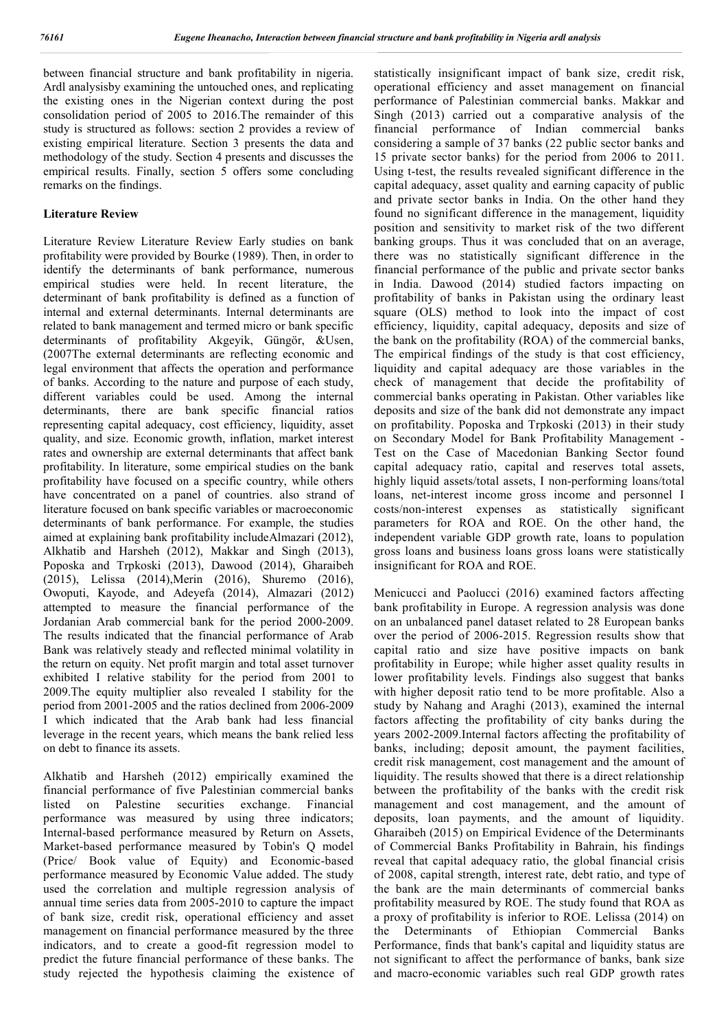between financial structure and bank profitability in nigeria. Ardl analysisby examining the untouched ones, and replicating the existing ones in the Nigerian context during the post consolidation period of 2005 to 2016.The remainder of this study is structured as follows: section 2 provides a review of existing empirical literature. Section 3 presents the data and methodology of the study. Section 4 presents and discusses the empirical results. Finally, section 5 offers some concluding remarks on the findings.

## **Literature Review**

Literature Review Literature Review Early studies on bank profitability were provided by Bourke (1989). Then, in order to identify the determinants of bank performance, numerous empirical studies were held. In recent literature, the determinant of bank profitability is defined as a function of internal and external determinants. Internal determinants are related to bank management and termed micro or bank specific determinants of profitability Akgeyik, Güngör, &Usen, (2007The external determinants are reflecting economic and legal environment that affects the operation and performance of banks. According to the nature and purpose of each study, different variables could be used. Among the internal determinants, there are bank specific financial ratios representing capital adequacy, cost efficiency, liquidity, asset quality, and size. Economic growth, inflation, market interest rates and ownership are external determinants that affect bank profitability. In literature, some empirical studies on the bank profitability have focused on a specific country, while others have concentrated on a panel of countries. also strand of literature focused on bank specific variables or macroeconomic determinants of bank performance. For example, the studies aimed at explaining bank profitability includeAlmazari (2012), Alkhatib and Harsheh (2012), Makkar and Singh (2013), Poposka and Trpkoski (2013), Dawood (2014), Gharaibeh (2015), Lelissa (2014),Merin (2016), Shuremo (2016), Owoputi, Kayode, and Adeyefa (2014), Almazari (2012) attempted to measure the financial performance of the Jordanian Arab commercial bank for the period 2000-2009. The results indicated that the financial performance of Arab Bank was relatively steady and reflected minimal volatility in the return on equity. Net profit margin and total asset turnover exhibited I relative stability for the period from 2001 to 2009.The equity multiplier also revealed I stability for the period from 2001-2005 and the ratios declined from 2006-2009 I which indicated that the Arab bank had less financial leverage in the recent years, which means the bank relied less on debt to finance its assets.

Alkhatib and Harsheh (2012) empirically examined the financial performance of five Palestinian commercial banks listed on Palestine securities exchange. Financial performance was measured by using three indicators; Internal-based performance measured by Return on Assets, Market-based performance measured by Tobin's Q model (Price/ Book value of Equity) and Economic-based performance measured by Economic Value added. The study used the correlation and multiple regression analysis of annual time series data from 2005-2010 to capture the impact of bank size, credit risk, operational efficiency and asset management on financial performance measured by the three indicators, and to create a good-fit regression model to predict the future financial performance of these banks. The study rejected the hypothesis claiming the existence of statistically insignificant impact of bank size, credit risk, operational efficiency and asset management on financial performance of Palestinian commercial banks. Makkar and Singh (2013) carried out a comparative analysis of the financial performance of Indian commercial banks considering a sample of 37 banks (22 public sector banks and 15 private sector banks) for the period from 2006 to 2011. Using t-test, the results revealed significant difference in the capital adequacy, asset quality and earning capacity of public and private sector banks in India. On the other hand they found no significant difference in the management, liquidity position and sensitivity to market risk of the two different banking groups. Thus it was concluded that on an average, there was no statistically significant difference in the financial performance of the public and private sector banks in India. Dawood (2014) studied factors impacting on profitability of banks in Pakistan using the ordinary least square (OLS) method to look into the impact of cost efficiency, liquidity, capital adequacy, deposits and size of the bank on the profitability (ROA) of the commercial banks, The empirical findings of the study is that cost efficiency, liquidity and capital adequacy are those variables in the check of management that decide the profitability of commercial banks operating in Pakistan. Other variables like deposits and size of the bank did not demonstrate any impact on profitability. Poposka and Trpkoski (2013) in their study on Secondary Model for Bank Profitability Management - Test on the Case of Macedonian Banking Sector found capital adequacy ratio, capital and reserves total assets, highly liquid assets/total assets, I non-performing loans/total loans, net-interest income gross income and personnel I costs/non-interest expenses as statistically significant parameters for ROA and ROE. On the other hand, the independent variable GDP growth rate, loans to population gross loans and business loans gross loans were statistically insignificant for ROA and ROE.

Menicucci and Paolucci (2016) examined factors affecting bank profitability in Europe. A regression analysis was done on an unbalanced panel dataset related to 28 European banks over the period of 2006-2015. Regression results show that capital ratio and size have positive impacts on bank profitability in Europe; while higher asset quality results in lower profitability levels. Findings also suggest that banks with higher deposit ratio tend to be more profitable. Also a study by Nahang and Araghi (2013), examined the internal factors affecting the profitability of city banks during the years 2002-2009.Internal factors affecting the profitability of banks, including; deposit amount, the payment facilities, credit risk management, cost management and the amount of liquidity. The results showed that there is a direct relationship between the profitability of the banks with the credit risk management and cost management, and the amount of deposits, loan payments, and the amount of liquidity. Gharaibeh (2015) on Empirical Evidence of the Determinants of Commercial Banks Profitability in Bahrain, his findings reveal that capital adequacy ratio, the global financial crisis of 2008, capital strength, interest rate, debt ratio, and type of the bank are the main determinants of commercial banks profitability measured by ROE. The study found that ROA as a proxy of profitability is inferior to ROE. Lelissa (2014) on the Determinants of Ethiopian Commercial Banks Performance, finds that bank's capital and liquidity status are not significant to affect the performance of banks, bank size and macro-economic variables such real GDP growth rates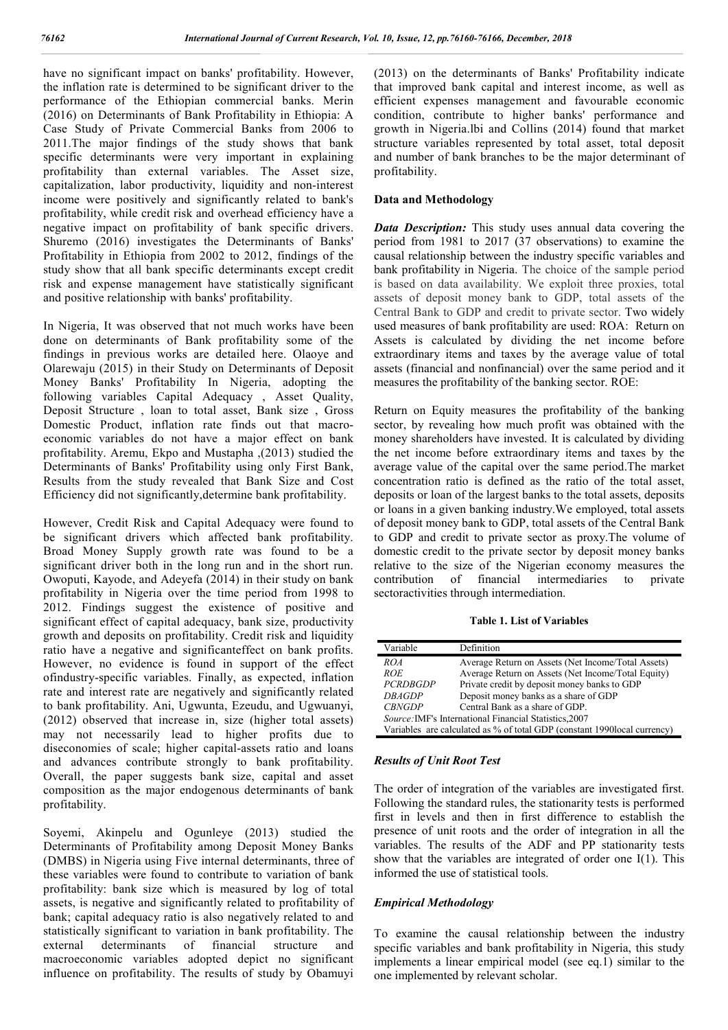have no significant impact on banks' profitability. However, the inflation rate is determined to be significant driver to the performance of the Ethiopian commercial banks. Merin (2016) on Determinants of Bank Profitability in Ethiopia: A Case Study of Private Commercial Banks from 2006 to 2011.The major findings of the study shows that bank specific determinants were very important in explaining profitability than external variables. The Asset size, capitalization, labor productivity, liquidity and non-interest income were positively and significantly related to bank's profitability, while credit risk and overhead efficiency have a negative impact on profitability of bank specific drivers. Shuremo (2016) investigates the Determinants of Banks' Profitability in Ethiopia from 2002 to 2012, findings of the study show that all bank specific determinants except credit risk and expense management have statistically significant and positive relationship with banks' profitability.

In Nigeria, It was observed that not much works have been done on determinants of Bank profitability some of the findings in previous works are detailed here. Olaoye and Olarewaju (2015) in their Study on Determinants of Deposit Money Banks' Profitability In Nigeria, adopting the following variables Capital Adequacy , Asset Quality, Deposit Structure , loan to total asset, Bank size , Gross Domestic Product, inflation rate finds out that macroeconomic variables do not have a major effect on bank profitability. Aremu, Ekpo and Mustapha ,(2013) studied the Determinants of Banks' Profitability using only First Bank, Results from the study revealed that Bank Size and Cost Efficiency did not significantly,determine bank profitability.

However, Credit Risk and Capital Adequacy were found to be significant drivers which affected bank profitability. Broad Money Supply growth rate was found to be a significant driver both in the long run and in the short run. Owoputi, Kayode, and Adeyefa (2014) in their study on bank profitability in Nigeria over the time period from 1998 to 2012. Findings suggest the existence of positive and significant effect of capital adequacy, bank size, productivity growth and deposits on profitability. Credit risk and liquidity ratio have a negative and significanteffect on bank profits. However, no evidence is found in support of the effect ofindustry-specific variables. Finally, as expected, inflation rate and interest rate are negatively and significantly related to bank profitability. Ani, Ugwunta, Ezeudu, and Ugwuanyi, (2012) observed that increase in, size (higher total assets) may not necessarily lead to higher profits due to diseconomies of scale; higher capital-assets ratio and loans and advances contribute strongly to bank profitability. Overall, the paper suggests bank size, capital and asset composition as the major endogenous determinants of bank profitability.

Soyemi, Akinpelu and Ogunleye (2013) studied the Determinants of Profitability among Deposit Money Banks (DMBS) in Nigeria using Five internal determinants, three of these variables were found to contribute to variation of bank profitability: bank size which is measured by log of total assets, is negative and significantly related to profitability of bank; capital adequacy ratio is also negatively related to and statistically significant to variation in bank profitability. The external determinants of financial structure and macroeconomic variables adopted depict no significant influence on profitability. The results of study by Obamuyi (2013) on the determinants of Banks' Profitability indicate that improved bank capital and interest income, as well as efficient expenses management and favourable economic condition, contribute to higher banks' performance and growth in Nigeria.lbi and Collins (2014) found that market structure variables represented by total asset, total deposit and number of bank branches to be the major determinant of profitability.

#### **Data and Methodology**

*Data Description:* This study uses annual data covering the period from 1981 to 2017 (37 observations) to examine the causal relationship between the industry specific variables and bank profitability in Nigeria. The choice of the sample period is based on data availability. We exploit three proxies, total assets of deposit money bank to GDP, total assets of the Central Bank to GDP and credit to private sector. Two widely used measures of bank profitability are used: ROA: Return on Assets is calculated by dividing the net income before extraordinary items and taxes by the average value of total assets (financial and nonfinancial) over the same period and it measures the profitability of the banking sector. ROE:

Return on Equity measures the profitability of the banking sector, by revealing how much profit was obtained with the money shareholders have invested. It is calculated by dividing the net income before extraordinary items and taxes by the average value of the capital over the same period.The market concentration ratio is defined as the ratio of the total asset, deposits or loan of the largest banks to the total assets, deposits or loans in a given banking industry.We employed, total assets of deposit money bank to GDP, total assets of the Central Bank to GDP and credit to private sector as proxy.The volume of domestic credit to the private sector by deposit money banks relative to the size of the Nigerian economy measures the contribution of financial intermediaries to private sectoractivities through intermediation.

**Table 1. List of Variables**

| Variable                                                      | Definition                                                               |  |  |  |
|---------------------------------------------------------------|--------------------------------------------------------------------------|--|--|--|
| ROA                                                           | Average Return on Assets (Net Income/Total Assets)                       |  |  |  |
| <b>ROE</b>                                                    | Average Return on Assets (Net Income/Total Equity)                       |  |  |  |
| <b>PCRDBGDP</b>                                               | Private credit by deposit money banks to GDP                             |  |  |  |
| <b>DBAGDP</b>                                                 | Deposit money banks as a share of GDP                                    |  |  |  |
| <b>CBNGDP</b>                                                 | Central Bank as a share of GDP.                                          |  |  |  |
| <i>Source:</i> IMF's International Financial Statistics, 2007 |                                                                          |  |  |  |
|                                                               | Variables are calculated as % of total GDP (constant 1990local currency) |  |  |  |

### *Results of Unit Root Test*

The order of integration of the variables are investigated first. Following the standard rules, the stationarity tests is performed first in levels and then in first difference to establish the presence of unit roots and the order of integration in all the variables. The results of the ADF and PP stationarity tests show that the variables are integrated of order one I(1). This informed the use of statistical tools.

#### *Empirical Methodology*

To examine the causal relationship between the industry specific variables and bank profitability in Nigeria, this study implements a linear empirical model (see eq.1) similar to the one implemented by relevant scholar.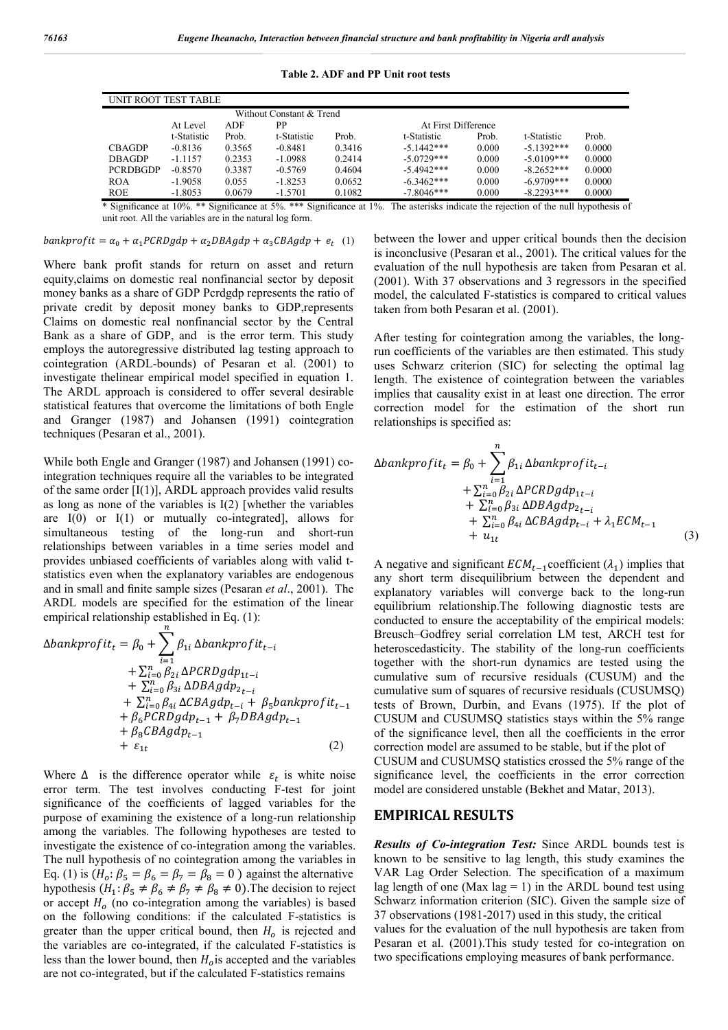| UNIT ROOT TEST TABLE     |             |        |             |        |                     |       |              |        |
|--------------------------|-------------|--------|-------------|--------|---------------------|-------|--------------|--------|
| Without Constant & Trend |             |        |             |        |                     |       |              |        |
|                          | At Level    | ADF    | PP          |        | At First Difference |       |              |        |
|                          | t-Statistic | Prob.  | t-Statistic | Prob.  | t-Statistic         | Prob. | t-Statistic  | Prob.  |
| <b>CBAGDP</b>            | $-0.8136$   | 0.3565 | $-0.8481$   | 0.3416 | $-5.1442***$        | 0.000 | $-5.1392***$ | 0.0000 |
| <b>DBAGDP</b>            | $-1.1157$   | 0.2353 | $-1.0988$   | 0.2414 | $-5.0729***$        | 0.000 | $-5.0109***$ | 0.0000 |
| <b>PCRDBGDP</b>          | $-0.8570$   | 0.3387 | $-0.5769$   | 0.4604 | $-5.4942***$        | 0.000 | $-8.2652***$ | 0.0000 |
| <b>ROA</b>               | $-1.9058$   | 0.055  | $-1.8253$   | 0.0652 | $-6.3462***$        | 0.000 | $-6.9709***$ | 0.0000 |
| <b>ROE</b>               | $-1.8053$   | 0.0679 | $-1.5701$   | 0.1082 | $-7.8046***$        | 0.000 | $-8.2293***$ | 0.0000 |

**Table 2. ADF and PP Unit root tests**

\* Significance at 10%. \*\* Significance at 5%. \*\*\* Significance at 1%. The asterisks indicate the rejection of the null hypothesis of unit root. All the variables are in the natural log form.

bankprofit =  $\alpha_0 + \alpha_1 PCRDgdp + \alpha_2 DBAgdp + \alpha_3 CBAgdp + e_t$  (1)

Where bank profit stands for return on asset and return equity,claims on domestic real nonfinancial sector by deposit money banks as a share of GDP Pcrdgdp represents the ratio of private credit by deposit money banks to GDP,represents Claims on domestic real nonfinancial sector by the Central Bank as a share of GDP, and is the error term. This study employs the autoregressive distributed lag testing approach to cointegration (ARDL-bounds) of Pesaran et al. (2001) to investigate thelinear empirical model specified in equation 1. The ARDL approach is considered to offer several desirable statistical features that overcome the limitations of both Engle and Granger (1987) and Johansen (1991) cointegration techniques (Pesaran et al., 2001).

While both Engle and Granger (1987) and Johansen (1991) cointegration techniques require all the variables to be integrated of the same order  $[I(1)]$ , ARDL approach provides valid results as long as none of the variables is I(2) [whether the variables are  $I(0)$  or  $I(1)$  or mutually co-integrated], allows for simultaneous testing of the long-run and short-run relationships between variables in a time series model and provides unbiased coefficients of variables along with valid tstatistics even when the explanatory variables are endogenous and in small and finite sample sizes (Pesaran *et al*., 2001). The ARDL models are specified for the estimation of the linear empirical relationship established in Eq. (1):

$$
\Delta bankprofit_t = \beta_0 + \sum_{i=1}^{n} \beta_{1i} \Delta bankprofit_{t-i} \n+ \sum_{i=0}^{n} \beta_{2i} \Delta PCRDgdp_{1t-i} \n+ \sum_{i=0}^{n} \beta_{3i} \Delta DBAgdp_{2t-i} \n+ \sum_{i=0}^{n} \beta_{4i} \Delta CBAgdp_{t-i} + \beta_5 bankprofit_{t-1} \n+ \beta_6 PCRDgdp_{t-1} + \beta_7 DBAgdp_{t-1} \n+ \beta_8 CBAgdp_{t-1}
$$
\n(2)

Where  $\Delta$  is the difference operator while  $\varepsilon_t$  is white noise error term. The test involves conducting F-test for joint significance of the coefficients of lagged variables for the purpose of examining the existence of a long-run relationship among the variables. The following hypotheses are tested to investigate the existence of co-integration among the variables. The null hypothesis of no cointegration among the variables in Eq. (1) is  $(H_o: \beta_5 = \beta_6 = \beta_7 = \beta_8 = 0)$  against the alternative hypothesis  $(H_1: \beta_5 \neq \beta_6 \neq \beta_7 \neq \beta_8 \neq 0)$ . The decision to reject or accept  $H<sub>o</sub>$  (no co-integration among the variables) is based on the following conditions: if the calculated F-statistics is greater than the upper critical bound, then  $H_0$  is rejected and the variables are co-integrated, if the calculated F-statistics is less than the lower bound, then  $H<sub>o</sub>$  is accepted and the variables are not co-integrated, but if the calculated F-statistics remains

between the lower and upper critical bounds then the decision is inconclusive (Pesaran et al., 2001). The critical values for the evaluation of the null hypothesis are taken from Pesaran et al. (2001). With 37 observations and 3 regressors in the specified model, the calculated F-statistics is compared to critical values taken from both Pesaran et al. (2001).

After testing for cointegration among the variables, the longrun coefficients of the variables are then estimated. This study uses Schwarz criterion (SIC) for selecting the optimal lag length. The existence of cointegration between the variables implies that causality exist in at least one direction. The error correction model for the estimation of the short run relationships is specified as:

$$
\Delta bankprofit_t = \beta_0 + \sum_{i=1}^{n} \beta_{1i} \Delta bankprofit_{t-i} + \sum_{i=0}^{n} \beta_{2i} \Delta PCRDgdp_{1t-i} + \sum_{i=0}^{n} \beta_{3i} \Delta DBAgdp_{2t-i} + \sum_{i=0}^{n} \beta_{4i} \Delta CBAgdp_{t-i} + \lambda_1 ECM_{t-1} + u_{1t}
$$
\n(3)

A negative and significant  $ECM_{t-1}$  coefficient  $(\lambda_1)$  implies that any short term disequilibrium between the dependent and explanatory variables will converge back to the long-run equilibrium relationship.The following diagnostic tests are conducted to ensure the acceptability of the empirical models: Breusch–Godfrey serial correlation LM test, ARCH test for heteroscedasticity. The stability of the long-run coefficients together with the short-run dynamics are tested using the cumulative sum of recursive residuals (CUSUM) and the cumulative sum of squares of recursive residuals (CUSUMSQ) tests of Brown, Durbin, and Evans (1975). If the plot of CUSUM and CUSUMSQ statistics stays within the 5% range of the significance level, then all the coefficients in the error correction model are assumed to be stable, but if the plot of CUSUM and CUSUMSQ statistics crossed the 5% range of the significance level, the coefficients in the error correction model are considered unstable (Bekhet and Matar, 2013).

### **EMPIRICAL RESULTS**

*Results of Co-integration Test:* Since ARDL bounds test is known to be sensitive to lag length, this study examines the VAR Lag Order Selection. The specification of a maximum lag length of one (Max  $\log = 1$ ) in the ARDL bound test using Schwarz information criterion (SIC). Given the sample size of 37 observations (1981-2017) used in this study, the critical values for the evaluation of the null hypothesis are taken from Pesaran et al. (2001).This study tested for co-integration on two specifications employing measures of bank performance.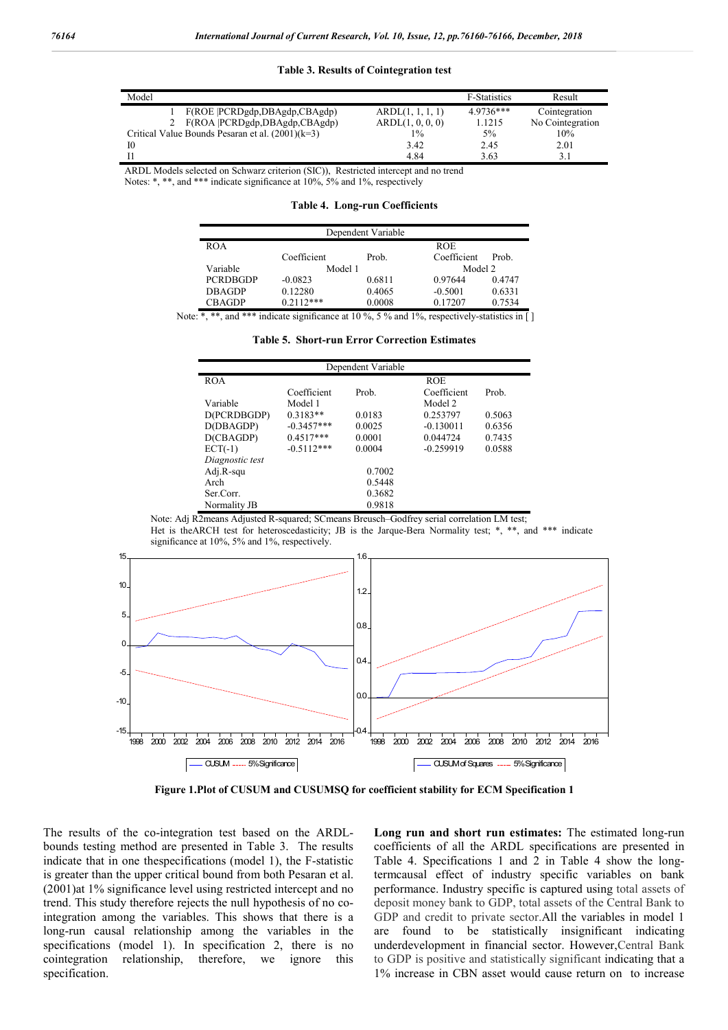#### **Table 3. Results of Cointegration test**

| Model                                              |                  | F-Statistics | Result           |
|----------------------------------------------------|------------------|--------------|------------------|
| F(ROE PCRDgdp,DBAgdp,CBAgdp)                       | ARDL(1, 1, 1, 1) | 4.9736***    | Cointegration    |
| F(ROA  PCRDgdp,DBAgdp,CBAgdp)<br>2                 | ARDL(1, 0, 0, 0) | 1.1215       | No Cointegration |
| Critical Value Bounds Pesaran et al. $(2001)(k=3)$ | 1%               | 5%           | 10%              |
| 10                                                 | 3.42             | 2.45         | 2.01             |
|                                                    | 4.84             | 3.63         | 3.1              |

ARDL Models selected on Schwarz criterion (SIC)), Restricted intercept and no trend Notes: \*, \*\*, and \*\*\* indicate significance at 10%, 5% and 1%, respectively

**Table 4. Long-run Coefficients**

| Dependent Variable |             |        |             |        |  |  |  |
|--------------------|-------------|--------|-------------|--------|--|--|--|
| <b>ROA</b>         |             |        | <b>ROE</b>  |        |  |  |  |
|                    | Coefficient | Prob.  | Coefficient | Prob.  |  |  |  |
| Variable           | Model 1     |        | Model 2     |        |  |  |  |
| <b>PCRDBGDP</b>    | $-0.0823$   | 0.6811 | 0.97644     | 0.4747 |  |  |  |
| <b>DBAGDP</b>      | 0.12280     | 0.4065 | $-0.5001$   | 0.6331 |  |  |  |
| <b>CBAGDP</b>      | $0.2112***$ | 0.0008 | 0.17207     | 0.7534 |  |  |  |

Note: \*, \*\*, and \*\*\* indicate significance at 10 %, 5 % and 1%, respectively-statistics in  $\lceil \cdot \rceil$ 

| <b>Table 5. Short-run Error Correction Estimates</b> |  |  |  |  |
|------------------------------------------------------|--|--|--|--|
|------------------------------------------------------|--|--|--|--|

|                 |              | Dependent Variable |             |        |  |  |
|-----------------|--------------|--------------------|-------------|--------|--|--|
| <b>ROA</b>      |              |                    | <b>ROE</b>  |        |  |  |
|                 | Coefficient  | Prob.              | Coefficient | Prob.  |  |  |
| Variable        | Model 1      |                    | Model 2     |        |  |  |
| D(PCRDBGDP)     | $0.3183**$   | 0.0183             | 0.253797    | 0.5063 |  |  |
| D(DBAGDP)       | $-0.3457***$ | 0.0025             | $-0.130011$ | 0.6356 |  |  |
| D(CBAGDP)       | $0.4517***$  | 0.0001             | 0.044724    | 0.7435 |  |  |
| $ECT(-1)$       | $-0.5112***$ | 0.0004             | $-0.259919$ | 0.0588 |  |  |
| Diagnostic test |              |                    |             |        |  |  |
| Adj.R-squ       | 0.7002       |                    |             |        |  |  |
| Arch            | 0.5448       |                    |             |        |  |  |
| Ser Corr.       |              | 0.3682             |             |        |  |  |
| Normality JB    |              | 0.9818             |             |        |  |  |

Note: Adj R2means Adjusted R-squared; SCmeans Breusch–Godfrey serial correlation LM test; Het is theARCH test for heteroscedasticity; JB is the Jarque-Bera Normality test; \*, \*\*, and \*\*\* indicate significance at 10%, 5% and 1%, respectively.



**Figure 1.Plot of CUSUM and CUSUMSQ for coefficient stability for ECM Specification 1**

The results of the co-integration test based on the ARDLbounds testing method are presented in Table 3. The results indicate that in one thespecifications (model 1), the F-statistic is greater than the upper critical bound from both Pesaran et al. (2001)at 1% significance level using restricted intercept and no trend. This study therefore rejects the null hypothesis of no cointegration among the variables. This shows that there is a long-run causal relationship among the variables in the specifications (model 1). In specification 2, there is no cointegration relationship, therefore, we ignore this specification.

**Long run and short run estimates:** The estimated long-run coefficients of all the ARDL specifications are presented in Table 4. Specifications 1 and 2 in Table 4 show the longtermcausal effect of industry specific variables on bank performance. Industry specific is captured using total assets of deposit money bank to GDP, total assets of the Central Bank to GDP and credit to private sector.All the variables in model 1 are found to be statistically insignificant indicating underdevelopment in financial sector. However,Central Bank to GDP is positive and statistically significant indicating that a 1% increase in CBN asset would cause return on to increase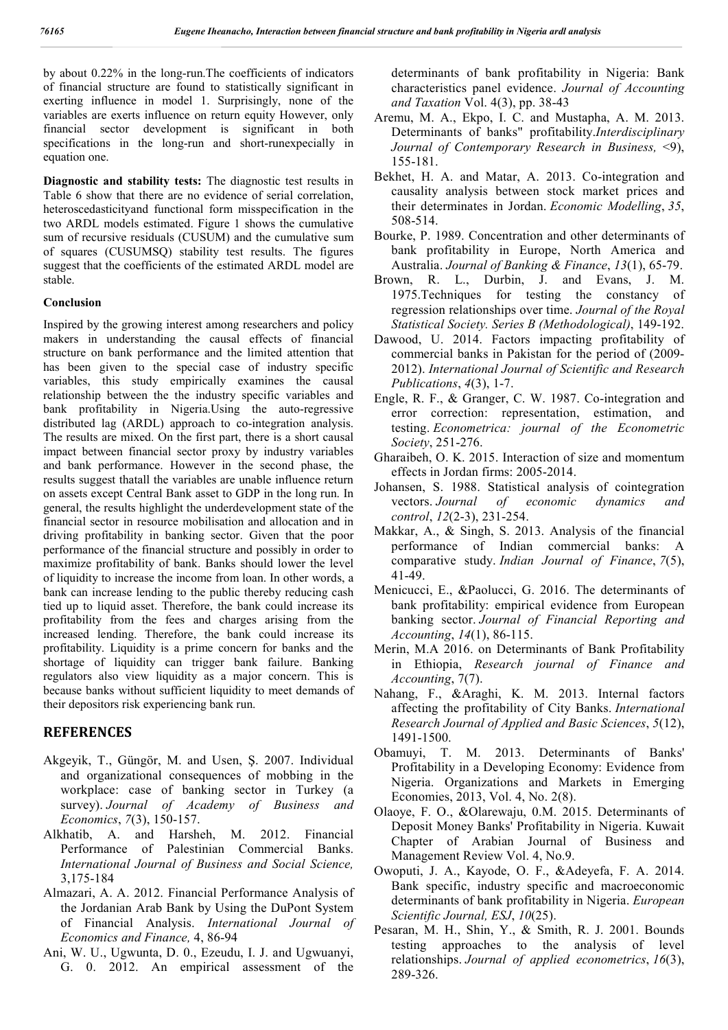by about 0.22% in the long-run.The coefficients of indicators of financial structure are found to statistically significant in exerting influence in model 1. Surprisingly, none of the variables are exerts influence on return equity However, only financial sector development is significant in both specifications in the long-run and short-runexpecially in equation one.

**Diagnostic and stability tests:** The diagnostic test results in Table 6 show that there are no evidence of serial correlation, heteroscedasticityand functional form misspecification in the two ARDL models estimated. Figure 1 shows the cumulative sum of recursive residuals (CUSUM) and the cumulative sum of squares (CUSUMSQ) stability test results. The figures suggest that the coefficients of the estimated ARDL model are stable.

#### **Conclusion**

Inspired by the growing interest among researchers and policy makers in understanding the causal effects of financial structure on bank performance and the limited attention that has been given to the special case of industry specific variables, this study empirically examines the causal relationship between the the industry specific variables and bank profitability in Nigeria.Using the auto-regressive distributed lag (ARDL) approach to co-integration analysis. The results are mixed. On the first part, there is a short causal impact between financial sector proxy by industry variables and bank performance. However in the second phase, the results suggest thatall the variables are unable influence return on assets except Central Bank asset to GDP in the long run. In general, the results highlight the underdevelopment state of the financial sector in resource mobilisation and allocation and in driving profitability in banking sector. Given that the poor performance of the financial structure and possibly in order to maximize profitability of bank. Banks should lower the level of liquidity to increase the income from loan. In other words, a bank can increase lending to the public thereby reducing cash tied up to liquid asset. Therefore, the bank could increase its profitability from the fees and charges arising from the increased lending. Therefore, the bank could increase its profitability. Liquidity is a prime concern for banks and the shortage of liquidity can trigger bank failure. Banking regulators also view liquidity as a major concern. This is because banks without sufficient liquidity to meet demands of their depositors risk experiencing bank run.

## **REFERENCES**

- Akgeyik, T., Güngör, M. and Usen, Ş. 2007. Individual and organizational consequences of mobbing in the workplace: case of banking sector in Turkey (a survey). *Journal of Academy of Business and Economics*, *7*(3), 150-157.
- Alkhatib, A. and Harsheh, M. 2012. Financial Performance of Palestinian Commercial Banks. *International Journal of Business and Social Science,* 3,175-184
- Almazari, A. A. 2012. Financial Performance Analysis of the Jordanian Arab Bank by Using the DuPont System of Financial Analysis. *International Journal of Economics and Finance,* 4, 86-94
- Ani, W. U., Ugwunta, D. 0., Ezeudu, I. J. and Ugwuanyi, G. 0. 2012. An empirical assessment of the

determinants of bank profitability in Nigeria: Bank characteristics panel evidence. *Journal of Accounting and Taxation* Vol. 4(3), pp. 38-43

- Aremu, M. A., Ekpo, I. C. and Mustapha, A. M. 2013. Determinants of banks" profitability.*Interdisciplinary Journal of Contemporary Research in Business,* <9), 155-181.
- Bekhet, H. A. and Matar, A. 2013. Co-integration and causality analysis between stock market prices and their determinates in Jordan. *Economic Modelling*, *35*, 508-514.
- Bourke, P. 1989. Concentration and other determinants of bank profitability in Europe, North America and Australia. *Journal of Banking & Finance*, *13*(1), 65-79.
- Brown, R. L., Durbin, J. and Evans, J. M. 1975.Techniques for testing the constancy of regression relationships over time. *Journal of the Royal Statistical Society. Series B (Methodological)*, 149-192.
- Dawood, U. 2014. Factors impacting profitability of commercial banks in Pakistan for the period of (2009- 2012). *International Journal of Scientific and Research Publications*, *4*(3), 1-7.
- Engle, R. F., & Granger, C. W. 1987. Co-integration and error correction: representation, estimation, and testing. *Econometrica: journal of the Econometric Society*, 251-276.
- Gharaibeh, O. K. 2015. Interaction of size and momentum effects in Jordan firms: 2005-2014.
- Johansen, S. 1988. Statistical analysis of cointegration vectors. *Journal of economic dynamics and control*, *12*(2-3), 231-254.
- Makkar, A., & Singh, S. 2013. Analysis of the financial performance of Indian commercial banks: A comparative study. *Indian Journal of Finance*, *7*(5), 41-49.
- Menicucci, E., &Paolucci, G. 2016. The determinants of bank profitability: empirical evidence from European banking sector. *Journal of Financial Reporting and Accounting*, *14*(1), 86-115.
- Merin, M.A 2016. on Determinants of Bank Profitability in Ethiopia, *Research journal of Finance and Accounting*, 7(7).
- Nahang, F., &Araghi, K. M. 2013. Internal factors affecting the profitability of City Banks. *International Research Journal of Applied and Basic Sciences*, *5*(12), 1491-1500.
- Obamuyi, T. M. 2013. Determinants of Banks' Profitability in a Developing Economy: Evidence from Nigeria. Organizations and Markets in Emerging Economies, 2013, Vol. 4, No. 2(8).
- Olaoye, F. O., &Olarewaju, 0.M. 2015. Determinants of Deposit Money Banks' Profitability in Nigeria. Kuwait Chapter of Arabian Journal of Business and Management Review Vol. 4, No.9.
- Owoputi, J. A., Kayode, O. F., &Adeyefa, F. A. 2014. Bank specific, industry specific and macroeconomic determinants of bank profitability in Nigeria. *European Scientific Journal, ESJ*, *10*(25).
- Pesaran, M. H., Shin, Y., & Smith, R. J. 2001. Bounds testing approaches to the analysis of level relationships. *Journal of applied econometrics*, *16*(3), 289-326.